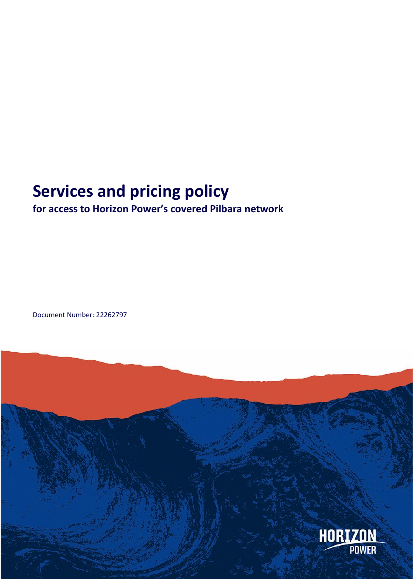# **Services and pricing policy**

# **for access to Horizon Power's covered Pilbara network**

Document Number: 22262797

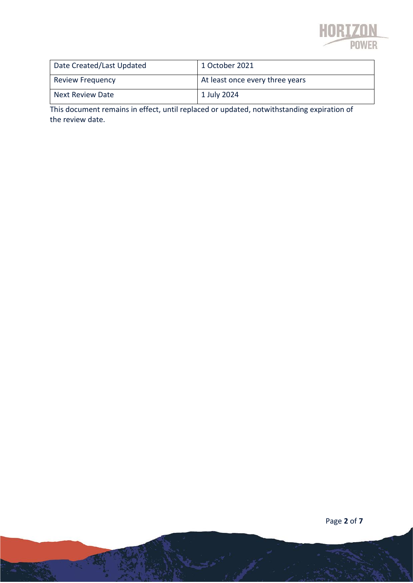

| Date Created/Last Updated | 1 October 2021                  |
|---------------------------|---------------------------------|
| <b>Review Frequency</b>   | At least once every three years |
| <b>Next Review Date</b>   | 1 July 2024                     |

This document remains in effect, until replaced or updated, notwithstanding expiration of the review date.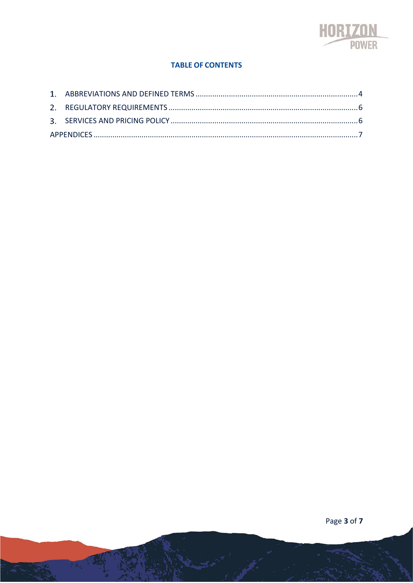

#### **TABLE OF CONTENTS**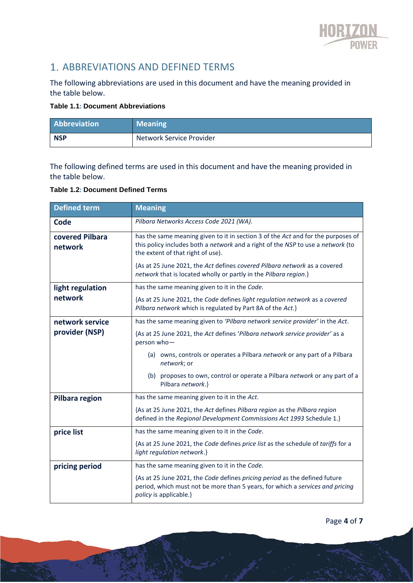

# 1. ABBREVIATIONS AND DEFINED TERMS

The following abbreviations are used in this document and have the meaning provided in the table below.

#### **Table 1.1: Document Abbreviations**

| Abbreviation | <b>Meaning</b>           |
|--------------|--------------------------|
| <b>NSP</b>   | Network Service Provider |

The following defined terms are used in this document and have the meaning provided in the table below.

#### **Table 1.2: Document Defined Terms**

| <b>Defined term</b>        | <b>Meaning</b>                                                                                                                                                                                                                                                                                                                                            |  |  |
|----------------------------|-----------------------------------------------------------------------------------------------------------------------------------------------------------------------------------------------------------------------------------------------------------------------------------------------------------------------------------------------------------|--|--|
| Code                       | Pilbara Networks Access Code 2021 (WA).                                                                                                                                                                                                                                                                                                                   |  |  |
| covered Pilbara<br>network | has the same meaning given to it in section 3 of the Act and for the purposes of<br>this policy includes both a network and a right of the NSP to use a network (to<br>the extent of that right of use).<br>{As at 25 June 2021, the Act defines covered Pilbara network as a covered<br>network that is located wholly or partly in the Pilbara region.} |  |  |
| light regulation           | has the same meaning given to it in the Code.                                                                                                                                                                                                                                                                                                             |  |  |
| network                    | {As at 25 June 2021, the Code defines light regulation network as a covered<br>Pilbara network which is regulated by Part 8A of the Act.}                                                                                                                                                                                                                 |  |  |
| network service            | has the same meaning given to 'Pilbara network service provider' in the Act.                                                                                                                                                                                                                                                                              |  |  |
| provider (NSP)             | {As at 25 June 2021, the Act defines 'Pilbara network service provider' as a<br>person who-                                                                                                                                                                                                                                                               |  |  |
|                            | (a) owns, controls or operates a Pilbara network or any part of a Pilbara<br>network; or                                                                                                                                                                                                                                                                  |  |  |
|                            | (b) proposes to own, control or operate a Pilbara network or any part of a<br>Pilbara network.}                                                                                                                                                                                                                                                           |  |  |
| Pilbara region             | has the same meaning given to it in the Act.                                                                                                                                                                                                                                                                                                              |  |  |
|                            | {As at 25 June 2021, the Act defines Pilbara region as the Pilbara region<br>defined in the Regional Development Commissions Act 1993 Schedule 1.}                                                                                                                                                                                                        |  |  |
| price list                 | has the same meaning given to it in the Code.                                                                                                                                                                                                                                                                                                             |  |  |
|                            | {As at 25 June 2021, the Code defines price list as the schedule of tariffs for a<br>light regulation network.}                                                                                                                                                                                                                                           |  |  |
| pricing period             | has the same meaning given to it in the Code.                                                                                                                                                                                                                                                                                                             |  |  |
|                            | {As at 25 June 2021, the Code defines pricing period as the defined future<br>period, which must not be more than 5 years, for which a services and pricing<br>policy is applicable.}                                                                                                                                                                     |  |  |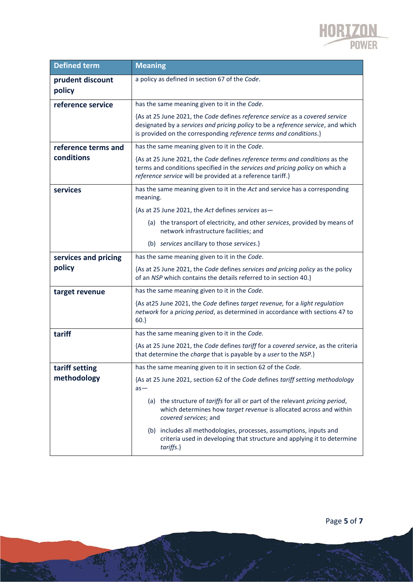

| <b>Defined term</b>        | <b>Meaning</b>                                                                                                                                                                                                                        |  |  |  |
|----------------------------|---------------------------------------------------------------------------------------------------------------------------------------------------------------------------------------------------------------------------------------|--|--|--|
| prudent discount<br>policy | a policy as defined in section 67 of the Code.                                                                                                                                                                                        |  |  |  |
| reference service          | has the same meaning given to it in the Code.                                                                                                                                                                                         |  |  |  |
|                            | {As at 25 June 2021, the Code defines reference service as a covered service<br>designated by a services and pricing policy to be a reference service, and which<br>is provided on the corresponding reference terms and conditions.} |  |  |  |
| reference terms and        | has the same meaning given to it in the Code.                                                                                                                                                                                         |  |  |  |
| conditions                 | {As at 25 June 2021, the Code defines reference terms and conditions as the<br>terms and conditions specified in the services and pricing policy on which a<br>reference service will be provided at a reference tariff.}             |  |  |  |
| services                   | has the same meaning given to it in the Act and service has a corresponding<br>meaning.                                                                                                                                               |  |  |  |
|                            | {As at 25 June 2021, the Act defines services as-                                                                                                                                                                                     |  |  |  |
|                            | (a) the transport of electricity, and other services, provided by means of<br>network infrastructure facilities; and                                                                                                                  |  |  |  |
|                            | (b) services ancillary to those services.}                                                                                                                                                                                            |  |  |  |
| services and pricing       | has the same meaning given to it in the Code.                                                                                                                                                                                         |  |  |  |
| policy                     | {As at 25 June 2021, the Code defines services and pricing policy as the policy<br>of an NSP which contains the details referred to in section 40.}                                                                                   |  |  |  |
| target revenue             | has the same meaning given to it in the Code.                                                                                                                                                                                         |  |  |  |
|                            | {As at25 June 2021, the Code defines target revenue, for a light regulation<br>network for a pricing period, as determined in accordance with sections 47 to<br>$60.\}$                                                               |  |  |  |
| tariff                     | has the same meaning given to it in the Code.                                                                                                                                                                                         |  |  |  |
|                            | {As at 25 June 2021, the Code defines tariff for a covered service, as the criteria<br>that determine the charge that is payable by a user to the NSP.}                                                                               |  |  |  |
| tariff setting             | has the same meaning given to it in section 62 of the Code.                                                                                                                                                                           |  |  |  |
| methodology                | {As at 25 June 2021, section 62 of the Code defines tariff setting methodology<br>$as -$                                                                                                                                              |  |  |  |
|                            | (a) the structure of tariffs for all or part of the relevant pricing period,<br>which determines how target revenue is allocated across and within<br>covered services; and                                                           |  |  |  |
|                            | (b) includes all methodologies, processes, assumptions, inputs and<br>criteria used in developing that structure and applying it to determine<br>tariffs.}                                                                            |  |  |  |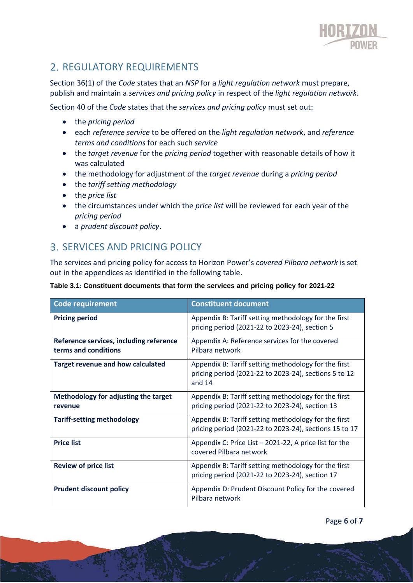

# 2. REGULATORY REQUIREMENTS

Section 36(1) of the *Code* states that an *NSP* for a *light regulation network* must prepare, publish and maintain a *services and pricing policy* in respect of the *light regulation network*.

Section 40 of the *Code* states that the *services and pricing policy* must set out:

- the *pricing period*
- each *reference service* to be offered on the *light regulation network*, and *reference terms and conditions* for each such *service*
- the *target revenue* for the *pricing period* together with reasonable details of how it was calculated
- the methodology for adjustment of the *target revenue* during a *pricing period*
- the *tariff setting methodology*
- the *price list*
- the circumstances under which the *price list* will be reviewed for each year of the *pricing period*
- a *prudent discount policy*.

### SERVICES AND PRICING POLICY

The services and pricing policy for access to Horizon Power's *covered Pilbara network* is set out in the appendices as identified in the following table.

| Table 3.1: Constituent documents that form the services and pricing policy for 2021-22 |  |  |
|----------------------------------------------------------------------------------------|--|--|
|                                                                                        |  |  |

| Code requirement                         | <b>Constituent document</b>                                                                                               |
|------------------------------------------|---------------------------------------------------------------------------------------------------------------------------|
| <b>Pricing period</b>                    | Appendix B: Tariff setting methodology for the first<br>pricing period (2021-22 to 2023-24), section 5                    |
| Reference services, including reference  | Appendix A: Reference services for the covered                                                                            |
| terms and conditions                     | Pilbara network                                                                                                           |
| <b>Target revenue and how calculated</b> | Appendix B: Tariff setting methodology for the first<br>pricing period (2021-22 to 2023-24), sections 5 to 12<br>and $14$ |
| Methodology for adjusting the target     | Appendix B: Tariff setting methodology for the first                                                                      |
| revenue                                  | pricing period (2021-22 to 2023-24), section 13                                                                           |
| <b>Tariff-setting methodology</b>        | Appendix B: Tariff setting methodology for the first                                                                      |
|                                          | pricing period (2021-22 to 2023-24), sections 15 to 17                                                                    |
| <b>Price list</b>                        | Appendix C: Price List - 2021-22, A price list for the<br>covered Pilbara network                                         |
| <b>Review of price list</b>              | Appendix B: Tariff setting methodology for the first                                                                      |
|                                          | pricing period (2021-22 to 2023-24), section 17                                                                           |
| <b>Prudent discount policy</b>           | Appendix D: Prudent Discount Policy for the covered<br>Pilbara network                                                    |